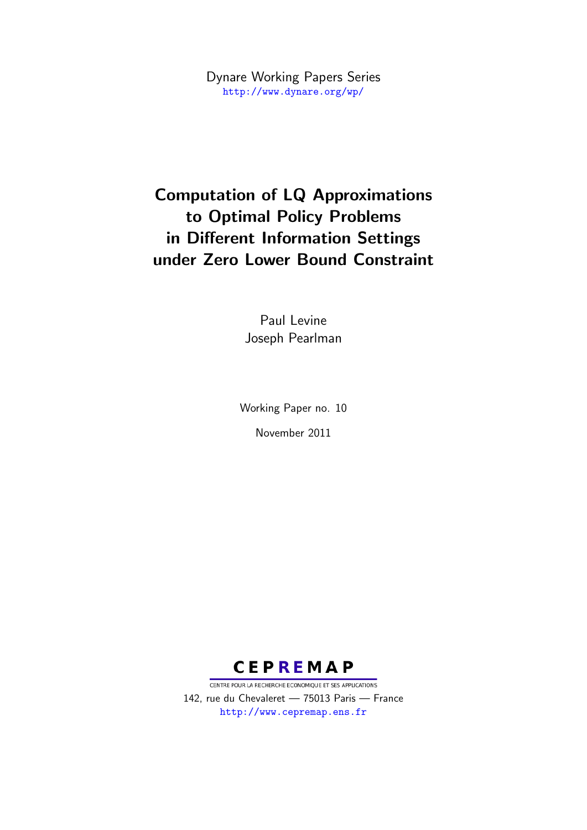Dynare Working Papers Series <http://www.dynare.org/wp/>

# Computation of LQ Approximations to Optimal Policy Problems in Different Information Settings under Zero Lower Bound Constraint

Paul Levine Joseph Pearlman

Working Paper no. 10

November 2011



CENTRE POUR LA RECHERCHE ECONOMIQUE ET SES APPLICATIONS 142, rue du Chevaleret — 75013 Paris — France <http://www.cepremap.ens.fr>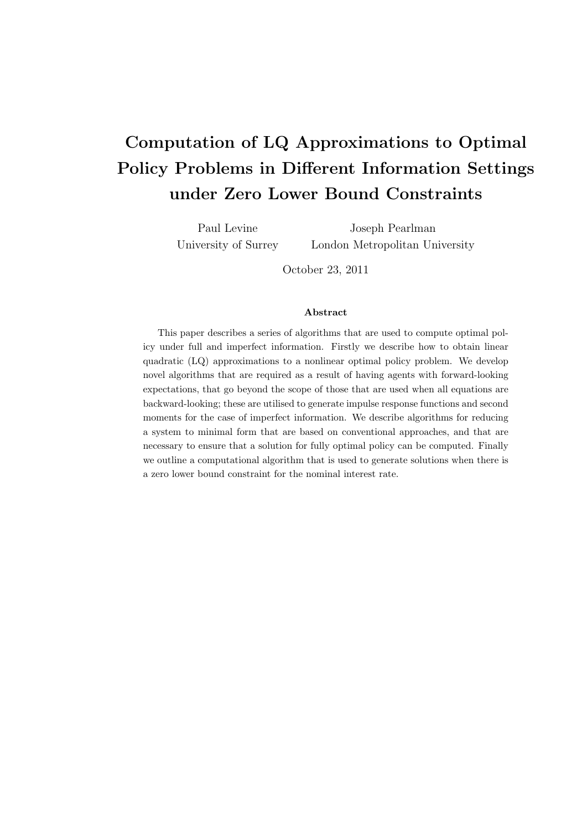# **Computation of LQ Approximations to Optimal Policy Problems in Different Information Settings under Zero Lower Bound Constraints**

Paul Levine University of Surrey

Joseph Pearlman London Metropolitan University

October 23, 2011

#### **Abstract**

This paper describes a series of algorithms that are used to compute optimal policy under full and imperfect information. Firstly we describe how to obtain linear quadratic (LQ) approximations to a nonlinear optimal policy problem. We develop novel algorithms that are required as a result of having agents with forward-looking expectations, that go beyond the scope of those that are used when all equations are backward-looking; these are utilised to generate impulse response functions and second moments for the case of imperfect information. We describe algorithms for reducing a system to minimal form that are based on conventional approaches, and that are necessary to ensure that a solution for fully optimal policy can be computed. Finally we outline a computational algorithm that is used to generate solutions when there is a zero lower bound constraint for the nominal interest rate.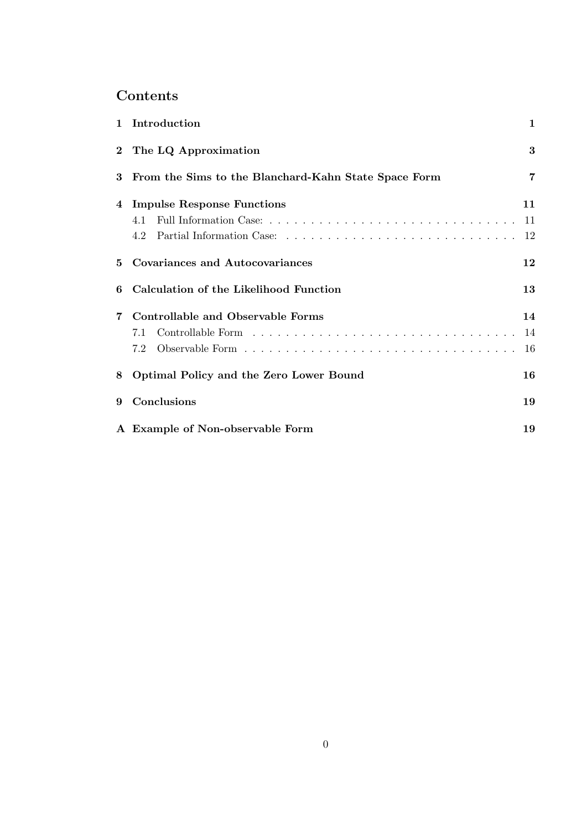# **Contents**

|   | 1 Introduction                                       | $\mathbf{1}$    |
|---|------------------------------------------------------|-----------------|
|   | 2 The LQ Approximation                               | 3               |
| 3 | From the Sims to the Blanchard-Kahn State Space Form | 7               |
| 4 | <b>Impulse Response Functions</b><br>4.1<br>4.2      | 11<br>-11<br>12 |
| 5 | Covariances and Autocovariances                      | 12              |
| 6 | Calculation of the Likelihood Function               | 13              |
| 7 | Controllable and Observable Forms<br>7.1<br>7.2      | 14<br>14<br>16  |
| 8 | Optimal Policy and the Zero Lower Bound              | 16              |
| 9 | Conclusions                                          | 19              |
|   | A Example of Non-observable Form                     | 19              |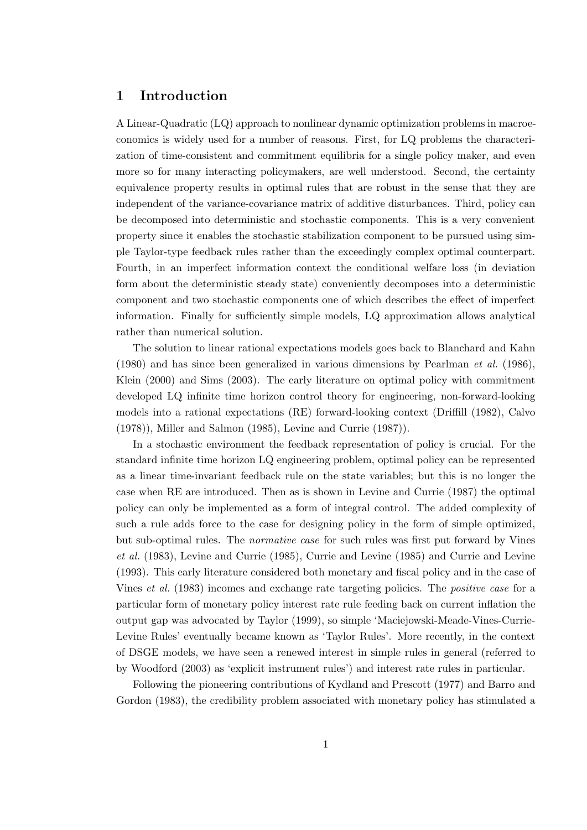# **1 Introduction**

A Linear-Quadratic (LQ) approach to nonlinear dynamic optimization problems in macroeconomics is widely used for a number of reasons. First, for LQ problems the characterization of time-consistent and commitment equilibria for a single policy maker, and even more so for many interacting policymakers, are well understood. Second, the certainty equivalence property results in optimal rules that are robust in the sense that they are independent of the variance-covariance matrix of additive disturbances. Third, policy can be decomposed into deterministic and stochastic components. This is a very convenient property since it enables the stochastic stabilization component to be pursued using simple Taylor-type feedback rules rather than the exceedingly complex optimal counterpart. Fourth, in an imperfect information context the conditional welfare loss (in deviation form about the deterministic steady state) conveniently decomposes into a deterministic component and two stochastic components one of which describes the effect of imperfect information. Finally for sufficiently simple models, LQ approximation allows analytical rather than numerical solution.

The solution to linear rational expectations models goes back to Blanchard and Kahn (1980) and has since been generalized in various dimensions by Pearlman *et al.* (1986), Klein (2000) and Sims (2003). The early literature on optimal policy with commitment developed LQ infinite time horizon control theory for engineering, non-forward-looking models into a rational expectations (RE) forward-looking context (Driffill (1982), Calvo (1978)), Miller and Salmon (1985), Levine and Currie (1987)).

In a stochastic environment the feedback representation of policy is crucial. For the standard infinite time horizon LQ engineering problem, optimal policy can be represented as a linear time-invariant feedback rule on the state variables; but this is no longer the case when RE are introduced. Then as is shown in Levine and Currie (1987) the optimal policy can only be implemented as a form of integral control. The added complexity of such a rule adds force to the case for designing policy in the form of simple optimized, but sub-optimal rules. The *normative case* for such rules was first put forward by Vines *et al.* (1983), Levine and Currie (1985), Currie and Levine (1985) and Currie and Levine (1993). This early literature considered both monetary and fiscal policy and in the case of Vines *et al.* (1983) incomes and exchange rate targeting policies. The *positive case* for a particular form of monetary policy interest rate rule feeding back on current inflation the output gap was advocated by Taylor (1999), so simple 'Maciejowski-Meade-Vines-Currie-Levine Rules' eventually became known as 'Taylor Rules'. More recently, in the context of DSGE models, we have seen a renewed interest in simple rules in general (referred to by Woodford (2003) as 'explicit instrument rules') and interest rate rules in particular.

Following the pioneering contributions of Kydland and Prescott (1977) and Barro and Gordon (1983), the credibility problem associated with monetary policy has stimulated a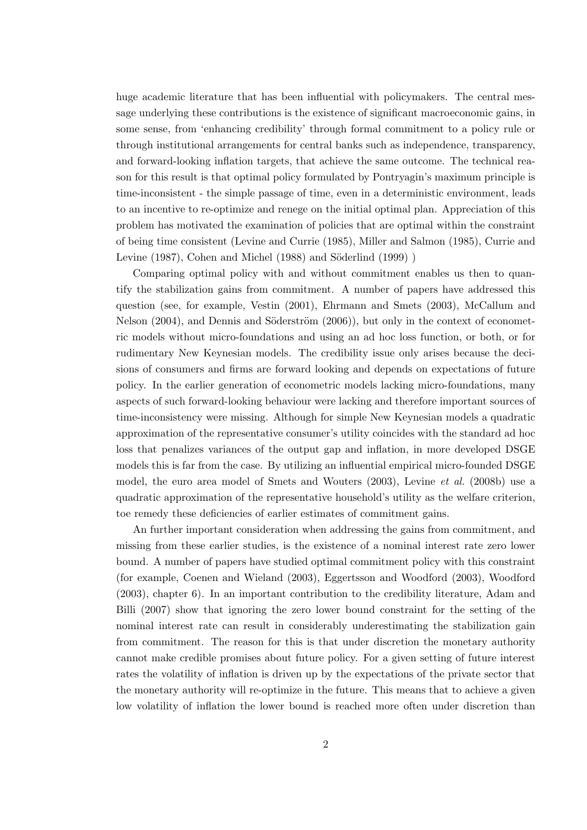huge academic literature that has been influential with policymakers. The central message underlying these contributions is the existence of significant macroeconomic gains, in some sense, from 'enhancing credibility' through formal commitment to a policy rule or through institutional arrangements for central banks such as independence, transparency, and forward-looking inflation targets, that achieve the same outcome. The technical reason for this result is that optimal policy formulated by Pontryagin's maximum principle is time-inconsistent - the simple passage of time, even in a deterministic environment, leads to an incentive to re-optimize and renege on the initial optimal plan. Appreciation of this problem has motivated the examination of policies that are optimal within the constraint of being time consistent (Levine and Currie (1985), Miller and Salmon (1985), Currie and Levine  $(1987)$ , Cohen and Michel  $(1988)$  and Söderlind  $(1999)$ )

Comparing optimal policy with and without commitment enables us then to quantify the stabilization gains from commitment. A number of papers have addressed this question (see, for example, Vestin (2001), Ehrmann and Smets (2003), McCallum and Nelson  $(2004)$ , and Dennis and Söderström  $(2006)$ , but only in the context of econometric models without micro-foundations and using an ad hoc loss function, or both, or for rudimentary New Keynesian models. The credibility issue only arises because the decisions of consumers and firms are forward looking and depends on expectations of future policy. In the earlier generation of econometric models lacking micro-foundations, many aspects of such forward-looking behaviour were lacking and therefore important sources of time-inconsistency were missing. Although for simple New Keynesian models a quadratic approximation of the representative consumer's utility coincides with the standard ad hoc loss that penalizes variances of the output gap and inflation, in more developed DSGE models this is far from the case. By utilizing an influential empirical micro-founded DSGE model, the euro area model of Smets and Wouters (2003), Levine *et al.* (2008b) use a quadratic approximation of the representative household's utility as the welfare criterion, toe remedy these deficiencies of earlier estimates of commitment gains.

An further important consideration when addressing the gains from commitment, and missing from these earlier studies, is the existence of a nominal interest rate zero lower bound. A number of papers have studied optimal commitment policy with this constraint (for example, Coenen and Wieland (2003), Eggertsson and Woodford (2003), Woodford (2003), chapter 6). In an important contribution to the credibility literature, Adam and Billi (2007) show that ignoring the zero lower bound constraint for the setting of the nominal interest rate can result in considerably underestimating the stabilization gain from commitment. The reason for this is that under discretion the monetary authority cannot make credible promises about future policy. For a given setting of future interest rates the volatility of inflation is driven up by the expectations of the private sector that the monetary authority will re-optimize in the future. This means that to achieve a given low volatility of inflation the lower bound is reached more often under discretion than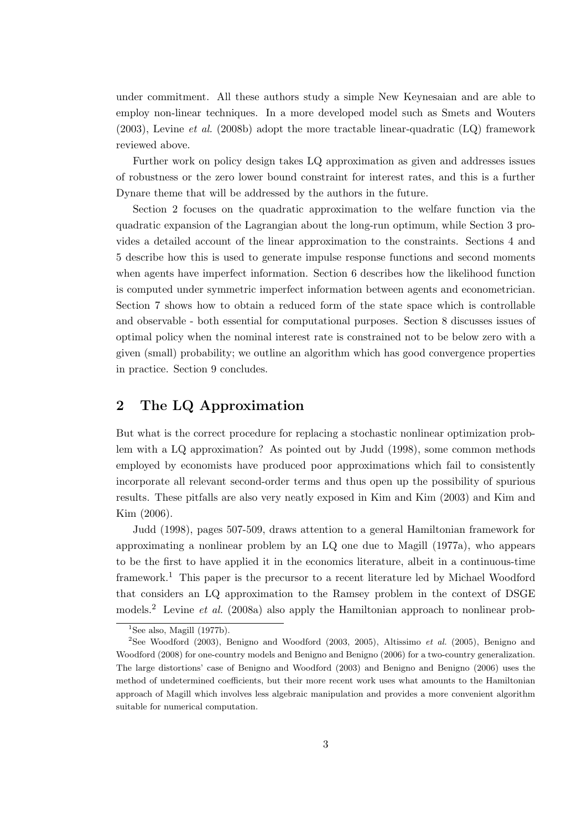under commitment. All these authors study a simple New Keynesaian and are able to employ non-linear techniques. In a more developed model such as Smets and Wouters (2003), Levine *et al.* (2008b) adopt the more tractable linear-quadratic (LQ) framework reviewed above.

Further work on policy design takes LQ approximation as given and addresses issues of robustness or the zero lower bound constraint for interest rates, and this is a further Dynare theme that will be addressed by the authors in the future.

Section 2 focuses on the quadratic approximation to the welfare function via the quadratic expansion of the Lagrangian about the long-run optimum, while Section 3 provides a detailed account of the linear approximation to the constraints. Sections 4 and 5 describe how this is used to generate impulse response functions and second moments when agents have imperfect information. Section 6 describes how the likelihood function is computed under symmetric imperfect information between agents and econometrician. Section 7 shows how to obtain a reduced form of the state space which is controllable and observable - both essential for computational purposes. Section 8 discusses issues of optimal policy when the nominal interest rate is constrained not to be below zero with a given (small) probability; we outline an algorithm which has good convergence properties in practice. Section 9 concludes.

# **2 The LQ Approximation**

But what is the correct procedure for replacing a stochastic nonlinear optimization problem with a LQ approximation? As pointed out by Judd (1998), some common methods employed by economists have produced poor approximations which fail to consistently incorporate all relevant second-order terms and thus open up the possibility of spurious results. These pitfalls are also very neatly exposed in Kim and Kim (2003) and Kim and Kim (2006).

Judd (1998), pages 507-509, draws attention to a general Hamiltonian framework for approximating a nonlinear problem by an LQ one due to Magill (1977a), who appears to be the first to have applied it in the economics literature, albeit in a continuous-time framework.<sup>1</sup> This paper is the precursor to a recent literature led by Michael Woodford that considers an LQ approximation to the Ramsey problem in the context of DSGE models.<sup>2</sup> Levine *et al.* (2008a) also apply the Hamiltonian approach to nonlinear prob-

<sup>&</sup>lt;sup>1</sup>See also, Magill  $(1977b)$ .

<sup>2</sup>See Woodford (2003), Benigno and Woodford (2003, 2005), Altissimo *et al.* (2005), Benigno and Woodford (2008) for one-country models and Benigno and Benigno (2006) for a two-country generalization. The large distortions' case of Benigno and Woodford (2003) and Benigno and Benigno (2006) uses the method of undetermined coefficients, but their more recent work uses what amounts to the Hamiltonian approach of Magill which involves less algebraic manipulation and provides a more convenient algorithm suitable for numerical computation.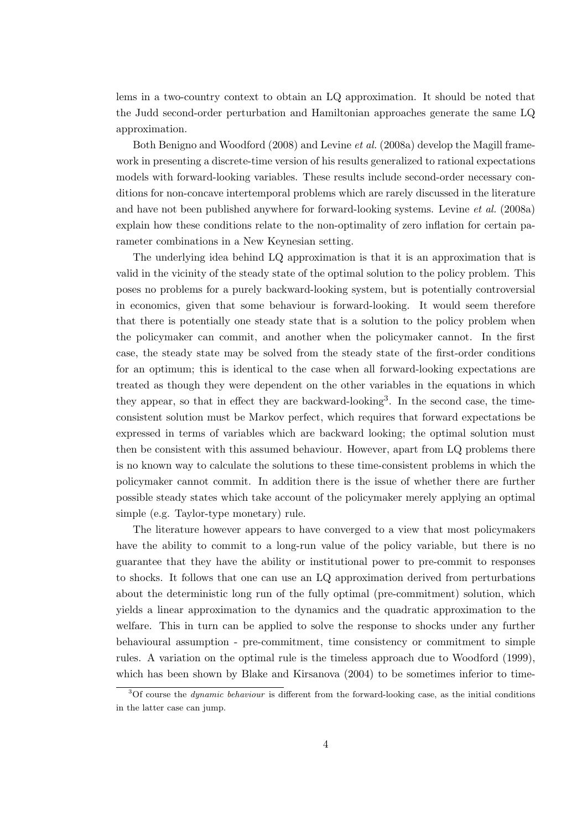lems in a two-country context to obtain an LQ approximation. It should be noted that the Judd second-order perturbation and Hamiltonian approaches generate the same LQ approximation.

Both Benigno and Woodford (2008) and Levine *et al.* (2008a) develop the Magill framework in presenting a discrete-time version of his results generalized to rational expectations models with forward-looking variables. These results include second-order necessary conditions for non-concave intertemporal problems which are rarely discussed in the literature and have not been published anywhere for forward-looking systems. Levine *et al.* (2008a) explain how these conditions relate to the non-optimality of zero inflation for certain parameter combinations in a New Keynesian setting.

The underlying idea behind LQ approximation is that it is an approximation that is valid in the vicinity of the steady state of the optimal solution to the policy problem. This poses no problems for a purely backward-looking system, but is potentially controversial in economics, given that some behaviour is forward-looking. It would seem therefore that there is potentially one steady state that is a solution to the policy problem when the policymaker can commit, and another when the policymaker cannot. In the first case, the steady state may be solved from the steady state of the first-order conditions for an optimum; this is identical to the case when all forward-looking expectations are treated as though they were dependent on the other variables in the equations in which they appear, so that in effect they are backward-looking<sup>3</sup>. In the second case, the timeconsistent solution must be Markov perfect, which requires that forward expectations be expressed in terms of variables which are backward looking; the optimal solution must then be consistent with this assumed behaviour. However, apart from LQ problems there is no known way to calculate the solutions to these time-consistent problems in which the policymaker cannot commit. In addition there is the issue of whether there are further possible steady states which take account of the policymaker merely applying an optimal simple (e.g. Taylor-type monetary) rule.

The literature however appears to have converged to a view that most policymakers have the ability to commit to a long-run value of the policy variable, but there is no guarantee that they have the ability or institutional power to pre-commit to responses to shocks. It follows that one can use an LQ approximation derived from perturbations about the deterministic long run of the fully optimal (pre-commitment) solution, which yields a linear approximation to the dynamics and the quadratic approximation to the welfare. This in turn can be applied to solve the response to shocks under any further behavioural assumption - pre-commitment, time consistency or commitment to simple rules. A variation on the optimal rule is the timeless approach due to Woodford (1999), which has been shown by Blake and Kirsanova  $(2004)$  to be sometimes inferior to time-

<sup>3</sup>Of course the *dynamic behaviour* is different from the forward-looking case, as the initial conditions in the latter case can jump.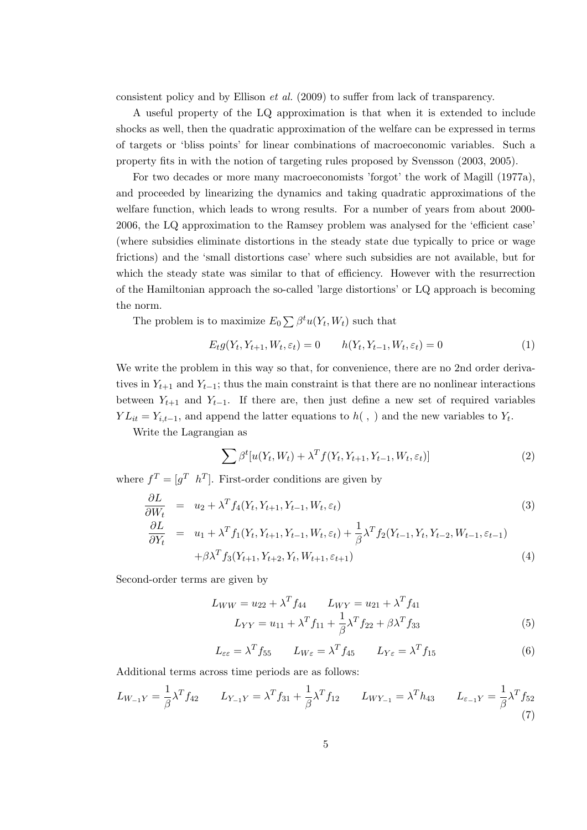consistent policy and by Ellison *et al.* (2009) to suffer from lack of transparency.

A useful property of the LQ approximation is that when it is extended to include shocks as well, then the quadratic approximation of the welfare can be expressed in terms of targets or 'bliss points' for linear combinations of macroeconomic variables. Such a property fits in with the notion of targeting rules proposed by Svensson (2003, 2005).

For two decades or more many macroeconomists 'forgot' the work of Magill (1977a), and proceeded by linearizing the dynamics and taking quadratic approximations of the welfare function, which leads to wrong results. For a number of years from about 2000- 2006, the LQ approximation to the Ramsey problem was analysed for the 'efficient case' (where subsidies eliminate distortions in the steady state due typically to price or wage frictions) and the 'small distortions case' where such subsidies are not available, but for which the steady state was similar to that of efficiency. However with the resurrection of the Hamiltonian approach the so-called 'large distortions' or LQ approach is becoming the norm.

The problem is to maximize  $E_0 \sum \beta^t u(Y_t, W_t)$  such that

$$
E_t g(Y_t, Y_{t+1}, W_t, \varepsilon_t) = 0 \qquad h(Y_t, Y_{t-1}, W_t, \varepsilon_t) = 0 \tag{1}
$$

We write the problem in this way so that, for convenience, there are no 2nd order derivatives in  $Y_{t+1}$  and  $Y_{t-1}$ ; thus the main constraint is that there are no nonlinear interactions between  $Y_{t+1}$  and  $Y_{t-1}$ . If there are, then just define a new set of required variables *Y*  $L_{it} = Y_{i,t-1}$ , and append the latter equations to  $h($ , ) and the new variables to  $Y_t$ .

Write the Lagrangian as

$$
\sum \beta^t [u(Y_t, W_t) + \lambda^T f(Y_t, Y_{t+1}, Y_{t-1}, W_t, \varepsilon_t)]
$$
\n(2)

where  $f^T = [g^T \; h^T]$ . First-order conditions are given by

$$
\frac{\partial L}{\partial W_t} = u_2 + \lambda^T f_4(Y_t, Y_{t+1}, Y_{t-1}, W_t, \varepsilon_t)
$$
\n
$$
\frac{\partial L}{\partial Y_t} = u_1 + \lambda^T f_1(Y_t, Y_{t+1}, Y_{t-1}, W_t, \varepsilon_t) + \frac{1}{\beta} \lambda^T f_2(Y_{t-1}, Y_t, Y_{t-2}, W_{t-1}, \varepsilon_{t-1})
$$
\n(3)

$$
+\beta\lambda^T f_3(Y_{t+1}, Y_{t+2}, Y_t, W_{t+1}, \varepsilon_{t+1})
$$
\n(4)

Second-order terms are given by

$$
L_{WW} = u_{22} + \lambda^T f_{44} \qquad L_{WY} = u_{21} + \lambda^T f_{41}
$$

$$
L_{YY} = u_{11} + \lambda^T f_{11} + \frac{1}{\beta} \lambda^T f_{22} + \beta \lambda^T f_{33}
$$
(5)

$$
L_{\varepsilon\varepsilon} = \lambda^T f_{55} \qquad L_{W\varepsilon} = \lambda^T f_{45} \qquad L_{Y\varepsilon} = \lambda^T f_{15} \tag{6}
$$

Additional terms across time periods are as follows:

$$
L_{W_{-1}Y} = \frac{1}{\beta} \lambda^T f_{42} \qquad L_{Y_{-1}Y} = \lambda^T f_{31} + \frac{1}{\beta} \lambda^T f_{12} \qquad L_{WY_{-1}} = \lambda^T h_{43} \qquad L_{\varepsilon_{-1}Y} = \frac{1}{\beta} \lambda^T f_{52}
$$
\n(7)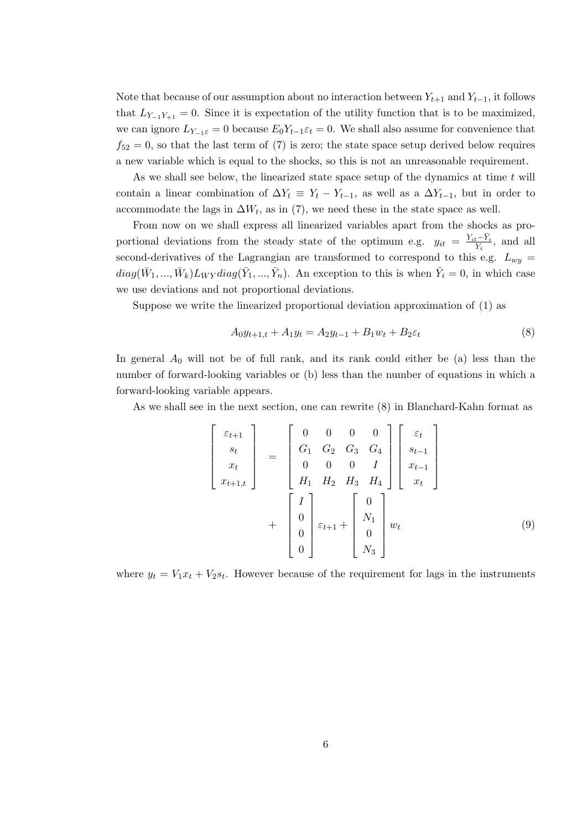Note that because of our assumption about no interaction between  $Y_{t+1}$  and  $Y_{t-1}$ , it follows that  $L_{Y_{-1}Y_{+1}} = 0$ . Since it is expectation of the utility function that is to be maximized, we can ignore  $L_{Y_{-1}\varepsilon} = 0$  because  $E_0 Y_{t-1} \varepsilon_t = 0$ . We shall also assume for convenience that  $f_{52} = 0$ , so that the last term of (7) is zero; the state space setup derived below requires a new variable which is equal to the shocks, so this is not an unreasonable requirement.

As we shall see below, the linearized state space setup of the dynamics at time *t* will contain a linear combination of  $\Delta Y_t \equiv Y_t - Y_{t-1}$ , as well as a  $\Delta Y_{t-1}$ , but in order to accommodate the lags in  $\Delta W_t$ , as in (7), we need these in the state space as well.

From now on we shall express all linearized variables apart from the shocks as proportional deviations from the steady state of the optimum e.g.  $y_{it} = \frac{Y_{it} - \bar{Y}_i}{\bar{Y}_i}$ , and all second-derivatives of the Lagrangian are transformed to correspond to this e.g.  $L_{wy}$  =  $diag(\bar{W}_1, ..., \bar{W}_k)L_{WY}diag(\bar{Y}_1, ..., \bar{Y}_n)$ . An exception to this is when  $\bar{Y}_i = 0$ , in which case we use deviations and not proportional deviations.

Suppose we write the linearized proportional deviation approximation of (1) as

$$
A_0 y_{t+1,t} + A_1 y_t = A_2 y_{t-1} + B_1 w_t + B_2 \varepsilon_t \tag{8}
$$

In general  $A_0$  will not be of full rank, and its rank could either be (a) less than the number of forward-looking variables or (b) less than the number of equations in which a forward-looking variable appears.

As we shall see in the next section, one can rewrite (8) in Blanchard-Kahn format as

$$
\begin{bmatrix}\n\varepsilon_{t+1} \\
s_t \\
x_t \\
x_{t+1,t}\n\end{bmatrix} =\n\begin{bmatrix}\n0 & 0 & 0 & 0 \\
G_1 & G_2 & G_3 & G_4 \\
0 & 0 & 0 & I \\
H_1 & H_2 & H_3 & H_4\n\end{bmatrix}\n\begin{bmatrix}\n\varepsilon_t \\
s_{t-1} \\
x_{t-1} \\
x_t\n\end{bmatrix} +\n\begin{bmatrix}\nI \\
0 \\
0 \\
0 \\
0\n\end{bmatrix}\n\varepsilon_{t+1} +\n\begin{bmatrix}\n0 \\
N_1 \\
0 \\
0 \\
N_3\n\end{bmatrix} w_t\n\tag{9}
$$

where  $y_t = V_1 x_t + V_2 s_t$ . However because of the requirement for lags in the instruments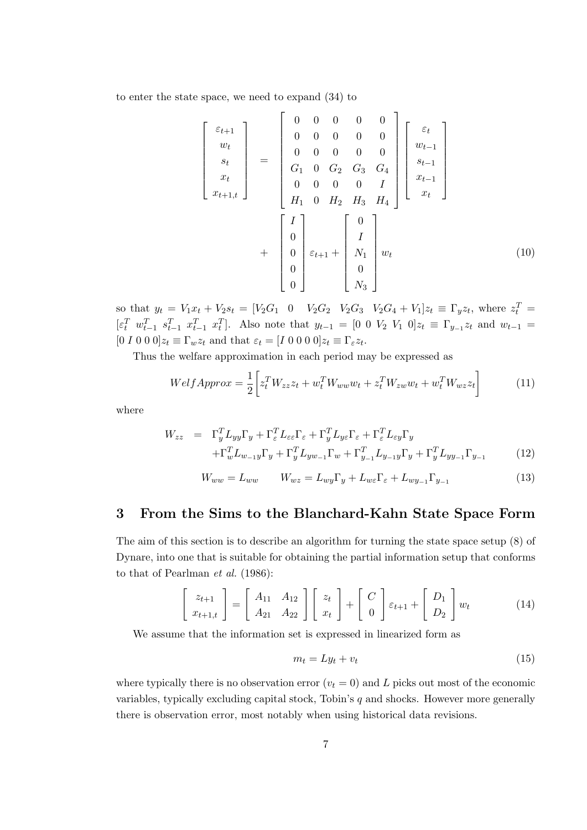to enter the state space, we need to expand (34) to

$$
\begin{bmatrix}\n\varepsilon_{t+1} \\
w_t \\
s_t \\
x_t \\
x_{t+1,t}\n\end{bmatrix} = \begin{bmatrix}\n0 & 0 & 0 & 0 & 0 \\
0 & 0 & 0 & 0 & 0 \\
0 & 0 & 0 & 0 & 0 \\
G_1 & 0 & G_2 & G_3 & G_4 \\
0 & 0 & 0 & 0 & I \\
H_1 & 0 & H_2 & H_3 & H_4\n\end{bmatrix} \begin{bmatrix}\n\varepsilon_t \\
w_{t-1} \\
s_{t-1} \\
x_{t-1} \\
x_t\n\end{bmatrix} + \begin{bmatrix}\nI \\
0 \\
0 \\
0 \\
0 \\
0\n\end{bmatrix} \varepsilon_{t+1} + \begin{bmatrix}\n0 \\
I \\
N_1 \\
0 \\
0 \\
0\n\end{bmatrix} w_t
$$
\n(10)

so that  $y_t = V_1 x_t + V_2 s_t = [V_2 G_1 \quad 0 \quad V_2 G_2 \quad V_2 G_3 \quad V_2 G_4 + V_1] z_t \equiv \Gamma_y z_t$ , where  $z_t^T =$  $[\varepsilon_t^T \ w_{t-1}^T \ s_{t-1}^T \ x_{t-1}^T \ x_t^T]$ . Also note that  $y_{t-1} = [0 \ 0 \ V_2 \ V_1 \ 0] z_t \equiv \Gamma_{y-1} z_t$  and  $w_{t-1} =$  $[0 I 0 0 0]z_t \equiv \Gamma_w z_t$  and that  $\varepsilon_t = [I 0 0 0 0]z_t \equiv \Gamma_{\varepsilon} z_t$ .

Thus the welfare approximation in each period may be expressed as

$$
WelfApprox = \frac{1}{2} \left[ z_t^T W_{zz} z_t + w_t^T W_{ww} w_t + z_t^T W_{zw} w_t + w_t^T W_{wz} z_t \right]
$$
(11)

where

$$
W_{zz} = \Gamma_y^T L_{yy} \Gamma_y + \Gamma_z^T L_{\varepsilon \varepsilon} \Gamma_{\varepsilon} + \Gamma_y^T L_{y \varepsilon} \Gamma_{\varepsilon} + \Gamma_z^T L_{\varepsilon y} \Gamma_y + \Gamma_w^T L_{w_{-1}y} \Gamma_y + \Gamma_y^T L_{yw_{-1}} \Gamma_w + \Gamma_{y_{-1}}^T L_{y_{-1}y} \Gamma_y + \Gamma_y^T L_{yy_{-1}} \Gamma_{y_{-1}}
$$
(12)

$$
W_{ww} = L_{ww} \qquad W_{wz} = L_{wy}\Gamma_y + L_{w\epsilon}\Gamma_{\epsilon} + L_{wy_{-1}}\Gamma_{y_{-1}} \tag{13}
$$

# **3 From the Sims to the Blanchard-Kahn State Space Form**

The aim of this section is to describe an algorithm for turning the state space setup (8) of Dynare, into one that is suitable for obtaining the partial information setup that conforms to that of Pearlman *et al.* (1986):

$$
\begin{bmatrix} z_{t+1} \\ x_{t+1,t} \end{bmatrix} = \begin{bmatrix} A_{11} & A_{12} \\ A_{21} & A_{22} \end{bmatrix} \begin{bmatrix} z_t \\ x_t \end{bmatrix} + \begin{bmatrix} C \\ 0 \end{bmatrix} \varepsilon_{t+1} + \begin{bmatrix} D_1 \\ D_2 \end{bmatrix} w_t
$$
 (14)

We assume that the information set is expressed in linearized form as

$$
m_t = Ly_t + v_t \tag{15}
$$

where typically there is no observation error  $(v_t = 0)$  and *L* picks out most of the economic variables, typically excluding capital stock, Tobin's *q* and shocks. However more generally there is observation error, most notably when using historical data revisions.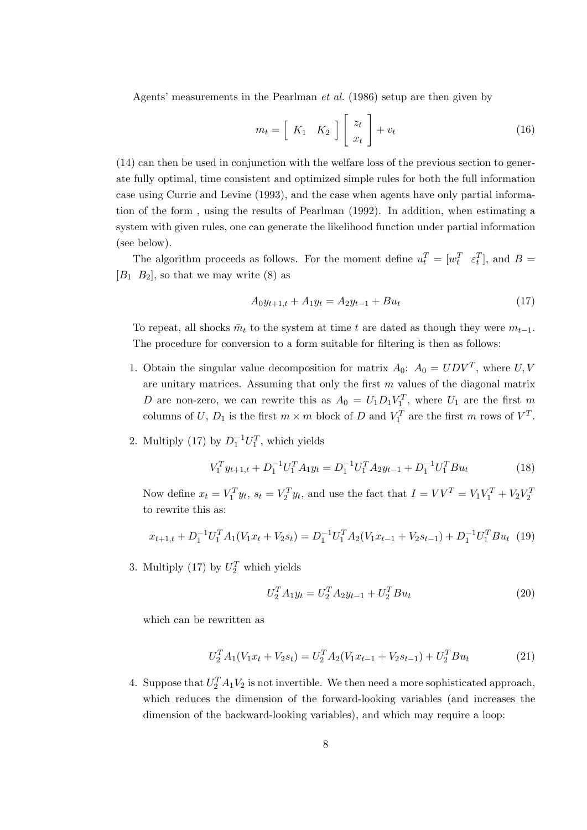Agents' measurements in the Pearlman *et al.* (1986) setup are then given by

$$
m_t = \left[ \begin{array}{cc} K_1 & K_2 \end{array} \right] \left[ \begin{array}{c} z_t \\ x_t \end{array} \right] + v_t \tag{16}
$$

(14) can then be used in conjunction with the welfare loss of the previous section to generate fully optimal, time consistent and optimized simple rules for both the full information case using Currie and Levine (1993), and the case when agents have only partial information of the form , using the results of Pearlman (1992). In addition, when estimating a system with given rules, one can generate the likelihood function under partial information (see below).

The algorithm proceeds as follows. For the moment define  $u_t^T = [w_t^T \tepsilon_t^T]$ , and  $B =$  $[B_1 \ B_2]$ , so that we may write  $(8)$  as

$$
A_0 y_{t+1,t} + A_1 y_t = A_2 y_{t-1} + B u_t \tag{17}
$$

To repeat, all shocks  $\bar{m}_t$  to the system at time *t* are dated as though they were  $m_{t-1}$ . The procedure for conversion to a form suitable for filtering is then as follows:

- 1. Obtain the singular value decomposition for matrix  $A_0$ :  $A_0 = UDV^T$ , where *U*, *V* are unitary matrices. Assuming that only the first *m* values of the diagonal matrix *D* are non-zero, we can rewrite this as  $A_0 = U_1 D_1 V_1^T$ , where  $U_1$  are the first *m* columns of *U*,  $D_1$  is the first  $m \times m$  block of  $D$  and  $V_1^T$  are the first  $m$  rows of  $V^T$ .
- 2. Multiply (17) by  $D_1^{-1}U_1^T$ , which yields

$$
V_1^T y_{t+1,t} + D_1^{-1} U_1^T A_1 y_t = D_1^{-1} U_1^T A_2 y_{t-1} + D_1^{-1} U_1^T B u_t \tag{18}
$$

Now define  $x_t = V_1^T y_t$ ,  $s_t = V_2^T y_t$ , and use the fact that  $I = VV^T = V_1V_1^T + V_2V_2^T$ to rewrite this as:

$$
x_{t+1,t} + D_1^{-1}U_1^T A_1 (V_1 x_t + V_2 s_t) = D_1^{-1}U_1^T A_2 (V_1 x_{t-1} + V_2 s_{t-1}) + D_1^{-1}U_1^T B u_t
$$
 (19)

3. Multiply (17) by  $U_2^T$  which yields

$$
U_2^T A_1 y_t = U_2^T A_2 y_{t-1} + U_2^T B u_t \tag{20}
$$

which can be rewritten as

$$
U_2^T A_1 (V_1 x_t + V_2 s_t) = U_2^T A_2 (V_1 x_{t-1} + V_2 s_{t-1}) + U_2^T B u_t
$$
\n(21)

4. Suppose that  $U_2^T A_1 V_2$  is not invertible. We then need a more sophisticated approach, which reduces the dimension of the forward-looking variables (and increases the dimension of the backward-looking variables), and which may require a loop: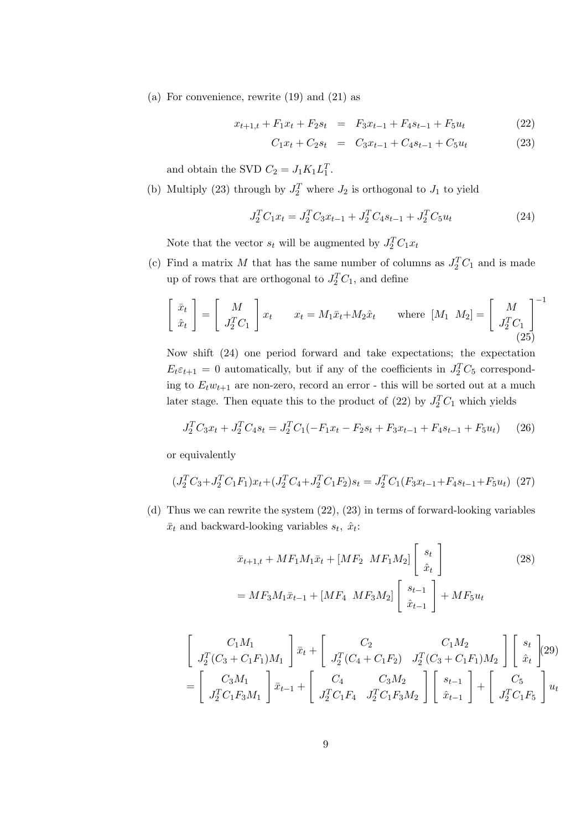(a) For convenience, rewrite (19) and (21) as

$$
x_{t+1,t} + F_1 x_t + F_2 s_t = F_3 x_{t-1} + F_4 s_{t-1} + F_5 u_t \tag{22}
$$

$$
C_1x_t + C_2s_t = C_3x_{t-1} + C_4s_{t-1} + C_5u_t \tag{23}
$$

and obtain the SVD  $C_2 = J_1 K_1 L_1^T$ .

(b) Multiply (23) through by  $J_2^T$  where  $J_2$  is orthogonal to  $J_1$  to yield

$$
J_2^T C_1 x_t = J_2^T C_3 x_{t-1} + J_2^T C_4 s_{t-1} + J_2^T C_5 u_t
$$
\n(24)

Note that the vector  $s_t$  will be augmented by  $J_2^T C_1 x_t$ 

(c) Find a matrix *M* that has the same number of columns as  $J_2^T C_1$  and is made up of rows that are orthogonal to  $J_2^T C_1$ , and define

$$
\begin{bmatrix} \bar{x}_t \\ \hat{x}_t \end{bmatrix} = \begin{bmatrix} M \\ J_2^T C_1 \end{bmatrix} x_t \qquad x_t = M_1 \bar{x}_t + M_2 \hat{x}_t \qquad \text{where } [M_1 \ M_2] = \begin{bmatrix} M \\ J_2^T C_1 \end{bmatrix}^{-1}
$$
\n(25)

Now shift (24) one period forward and take expectations; the expectation  $E_t \epsilon_{t+1} = 0$  automatically, but if any of the coefficients in  $J_2^T C_5$  corresponding to  $E_t w_{t+1}$  are non-zero, record an error - this will be sorted out at a much later stage. Then equate this to the product of (22) by  $J_2^T C_1$  which yields

$$
J_2^T C_3 x_t + J_2^T C_4 s_t = J_2^T C_1 (-F_1 x_t - F_2 s_t + F_3 x_{t-1} + F_4 s_{t-1} + F_5 u_t)
$$
 (26)

or equivalently

$$
(J_2^T C_3 + J_2^T C_1 F_1) x_t + (J_2^T C_4 + J_2^T C_1 F_2) s_t = J_2^T C_1 (F_3 x_{t-1} + F_4 s_{t-1} + F_5 u_t) (27)
$$

(d) Thus we can rewrite the system (22), (23) in terms of forward-looking variables  $\bar{x}_t$  and backward-looking variables  $s_t$ ,  $\hat{x}_t$ :

$$
\bar{x}_{t+1,t} + MF_1M_1\bar{x}_t + [MF_2 \; MF_1M_2] \begin{bmatrix} s_t \\ \hat{x}_t \end{bmatrix}
$$
\n
$$
= MF_3M_1\bar{x}_{t-1} + [MF_4 \; MF_3M_2] \begin{bmatrix} s_{t-1} \\ \hat{x}_{t-1} \end{bmatrix} + MF_5u_t
$$
\n(28)

$$
\begin{bmatrix}\nC_1 M_1 \\
J_2^T (C_3 + C_1 F_1) M_1\n\end{bmatrix} \bar{x}_t +\n\begin{bmatrix}\nC_2 & C_1 M_2 \\
J_2^T (C_4 + C_1 F_2) & J_2^T (C_3 + C_1 F_1) M_2\n\end{bmatrix}\n\begin{bmatrix}\ns_t \\
\hat{x}_t\n\end{bmatrix}\n(29)\n= \begin{bmatrix}\nC_3 M_1 \\
J_2^T C_1 F_3 M_1\n\end{bmatrix} \bar{x}_{t-1} +\n\begin{bmatrix}\nC_4 & C_3 M_2 \\
J_2^T C_1 F_3 M_2\n\end{bmatrix}\n\begin{bmatrix}\ns_{t-1} \\
\hat{x}_{t-1}\n\end{bmatrix} +\n\begin{bmatrix}\nC_5 \\
J_2^T C_1 F_5\n\end{bmatrix} u_t
$$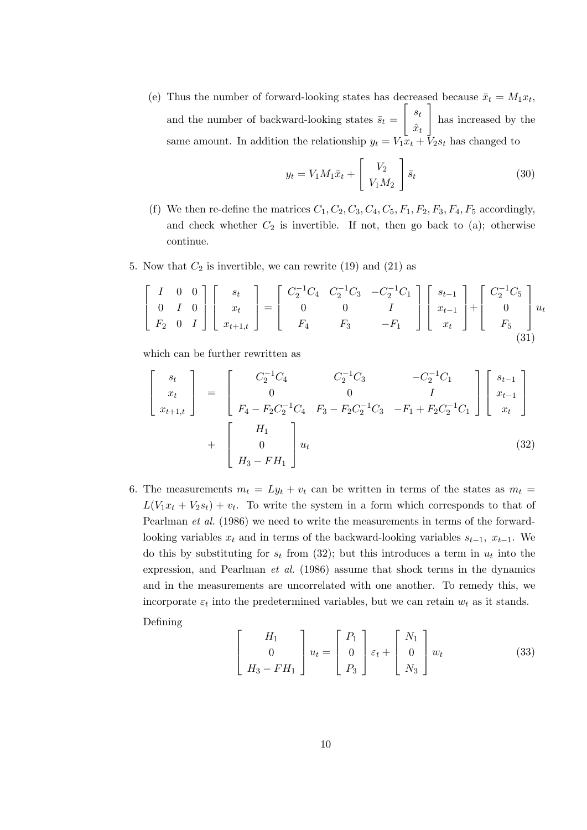(e) Thus the number of forward-looking states has decreased because  $\bar{x}_t = M_1 x_t$ , and the number of backward-looking states  $\bar{s}_t$  =  $\begin{bmatrix} s_t \end{bmatrix}$  $\hat{x}_t$ ] has increased by the same amount. In addition the relationship  $y_t = V_1 \bar{x}_t + V_2 s_t$  has changed to

$$
y_t = V_1 M_1 \bar{x}_t + \begin{bmatrix} V_2 \\ V_1 M_2 \end{bmatrix} \bar{s}_t
$$
 (30)

- (f) We then re-define the matrices  $C_1, C_2, C_3, C_4, C_5, F_1, F_2, F_3, F_4, F_5$  accordingly, and check whether  $C_2$  is invertible. If not, then go back to (a); otherwise continue.
- 5. Now that  $C_2$  is invertible, we can rewrite  $(19)$  and  $(21)$  as

$$
\begin{bmatrix} I & 0 & 0 \ 0 & I & 0 \ F_2 & 0 & I \end{bmatrix} \begin{bmatrix} s_t \\ x_t \\ x_{t+1,t} \end{bmatrix} = \begin{bmatrix} C_2^{-1}C_4 & C_2^{-1}C_3 & -C_2^{-1}C_1 \\ 0 & 0 & I \ F_4 & F_3 & -F_1 \end{bmatrix} \begin{bmatrix} s_{t-1} \\ x_{t-1} \\ x_t \end{bmatrix} + \begin{bmatrix} C_2^{-1}C_5 \\ 0 \\ F_5 \\ (31) \end{bmatrix} u_t
$$

which can be further rewritten as

$$
\begin{bmatrix}\ns_t \\
x_t \\
x_{t+1,t}\n\end{bmatrix} = \begin{bmatrix}\nC_2^{-1}C_4 & C_2^{-1}C_3 & -C_2^{-1}C_1 \\
0 & 0 & I \\
F_4 - F_2C_2^{-1}C_4 & F_3 - F_2C_2^{-1}C_3 & -F_1 + F_2C_2^{-1}C_1\n\end{bmatrix} \begin{bmatrix}\ns_{t-1} \\
x_{t-1} \\
x_t\n\end{bmatrix} + \begin{bmatrix}\nH_1 \\
0 \\
H_3 - FH_1\n\end{bmatrix} u_t
$$
\n(32)

6. The measurements  $m_t = Ly_t + v_t$  can be written in terms of the states as  $m_t =$  $L(V_1x_t + V_2s_t) + v_t$ . To write the system in a form which corresponds to that of Pearlman *et al.* (1986) we need to write the measurements in terms of the forwardlooking variables  $x_t$  and in terms of the backward-looking variables  $s_{t-1}$ ,  $x_{t-1}$ . We do this by substituting for  $s_t$  from (32); but this introduces a term in  $u_t$  into the expression, and Pearlman *et al.* (1986) assume that shock terms in the dynamics and in the measurements are uncorrelated with one another. To remedy this, we incorporate  $\varepsilon_t$  into the predetermined variables, but we can retain  $w_t$  as it stands. Defining

$$
\begin{bmatrix}\nH_1 \\
0 \\
H_3 - FH_1\n\end{bmatrix} u_t =\n\begin{bmatrix}\nP_1 \\
0 \\
P_3\n\end{bmatrix} \varepsilon_t +\n\begin{bmatrix}\nN_1 \\
0 \\
N_3\n\end{bmatrix} w_t\n\tag{33}
$$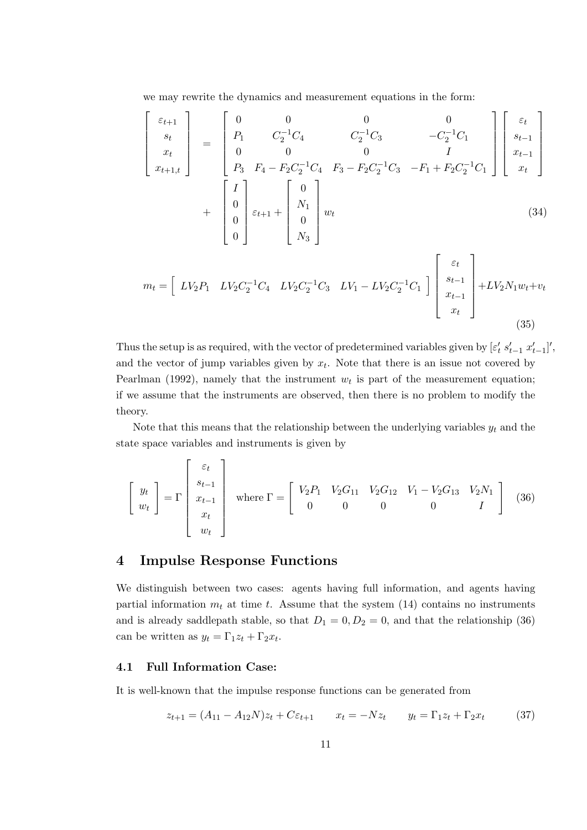we may rewrite the dynamics and measurement equations in the form:

$$
\begin{bmatrix}\n\varepsilon_{t+1} \\
s_t \\
x_t \\
x_{t+1,t}\n\end{bmatrix} =\n\begin{bmatrix}\n0 & 0 & 0 & 0 \\
P_1 & C_2^{-1}C_4 & C_2^{-1}C_3 & -C_2^{-1}C_1 \\
0 & 0 & 0 & I \\
P_3 & F_4 - F_2C_2^{-1}C_4 & F_3 - F_2C_2^{-1}C_3 & -F_1 + F_2C_2^{-1}C_1\n\end{bmatrix}\n\begin{bmatrix}\n\varepsilon_t \\
s_{t-1} \\
x_{t-1} \\
x_t\n\end{bmatrix}
$$
\n
$$
+ \begin{bmatrix}\nI \\
0 \\
0 \\
0 \\
0\n\end{bmatrix}\n\varepsilon_{t+1} +\n\begin{bmatrix}\n0 \\
N_1 \\
0 \\
N_3\n\end{bmatrix} w_t
$$
\n(34)\n
$$
m_t = \begin{bmatrix}\nLV_2P_1 & LV_2C_2^{-1}C_4 & LV_2C_2^{-1}C_3 & LV_1 - LV_2C_2^{-1}C_1\n\end{bmatrix}\n\begin{bmatrix}\n\varepsilon_t \\
s_{t-1} \\
s_{t-1} \\
s_{t-1} \\
s_{t-1} \\
s_t\n\end{bmatrix} + LV_2N_1w_t + v_t
$$

(35)

Thus the setup is as required, with the vector of predetermined variables given by  $[\varepsilon'_t s'_{t-1} x'_{t-1}]'$ , and the vector of jump variables given by  $x_t$ . Note that there is an issue not covered by Pearlman (1992), namely that the instrument  $w_t$  is part of the measurement equation; if we assume that the instruments are observed, then there is no problem to modify the theory.

Note that this means that the relationship between the underlying variables  $y_t$  and the state space variables and instruments is given by

$$
\begin{bmatrix} y_t \\ w_t \end{bmatrix} = \Gamma \begin{bmatrix} \varepsilon_t \\ s_{t-1} \\ x_{t-1} \\ x_t \\ w_t \end{bmatrix} \quad \text{where } \Gamma = \begin{bmatrix} V_2 P_1 & V_2 G_{11} & V_2 G_{12} & V_1 - V_2 G_{13} & V_2 N_1 \\ 0 & 0 & 0 & 0 & I \end{bmatrix} \quad (36)
$$

### **4 Impulse Response Functions**

We distinguish between two cases: agents having full information, and agents having partial information  $m_t$  at time  $t$ . Assume that the system  $(14)$  contains no instruments and is already saddlepath stable, so that  $D_1 = 0, D_2 = 0$ , and that the relationship (36) can be written as  $y_t = \Gamma_1 z_t + \Gamma_2 x_t$ .

#### **4.1 Full Information Case:**

It is well-known that the impulse response functions can be generated from

$$
z_{t+1} = (A_{11} - A_{12}N)z_t + C\varepsilon_{t+1} \qquad x_t = -Nz_t \qquad y_t = \Gamma_1 z_t + \Gamma_2 x_t \tag{37}
$$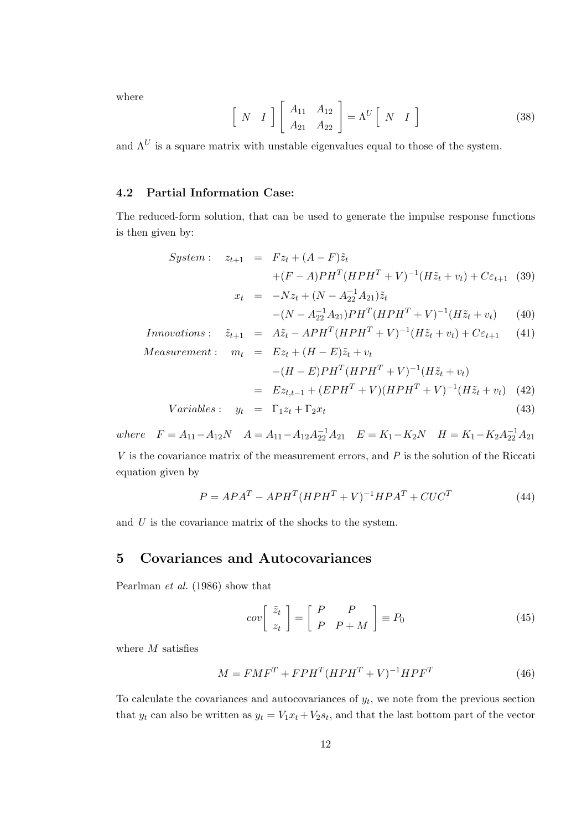where

$$
\begin{bmatrix}\nN & I\n\end{bmatrix}\n\begin{bmatrix}\nA_{11} & A_{12} \\
A_{21} & A_{22}\n\end{bmatrix} = \Lambda^U\n\begin{bmatrix}\nN & I\n\end{bmatrix}
$$
\n(38)

and  $\Lambda^U$  is a square matrix with unstable eigenvalues equal to those of the system.

#### **4.2 Partial Information Case:**

The reduced-form solution, that can be used to generate the impulse response functions is then given by:

$$
System: \t z_{t+1} = Fz_t + (A - F)\tilde{z}_t + (F - A)PH^T(HPH^T + V)^{-1}(H\tilde{z}_t + v_t) + C\varepsilon_{t+1} \t (39) x_t = -Nz_t + (N - A_{22}^{-1}A_{21})\tilde{z}_t
$$

$$
-(N - A_{22}^{-1}A_{21})PH^{T}(HPH^{T} + V)^{-1}(H\tilde{z}_{t} + v_{t}) \qquad (40)
$$

$$
In novations: \quad \tilde{z}_{t+1} \quad = \quad A\tilde{z}_t - APH^T (HPH^T + V)^{-1} (H\tilde{z}_t + v_t) + C\varepsilon_{t+1} \tag{41}
$$

*Measurement* : *m<sup>t</sup>* = *Ez<sup>t</sup>* + (*H − E*)˜*z<sup>t</sup>* + *v<sup>t</sup> <sup>−</sup>*(*<sup>H</sup> <sup>−</sup> <sup>E</sup>*)*PH<sup>T</sup>* (*HP H<sup>T</sup>* + *V* ) *−*1 (*Hz*˜*<sup>t</sup>* + *vt*) <sup>=</sup> *Ezt,t−*<sup>1</sup> + (*EPH<sup>T</sup>* <sup>+</sup> *<sup>V</sup>* )(*HP H<sup>T</sup>* <sup>+</sup> *<sup>V</sup>* ) *−*1 (*Hz*˜*<sup>t</sup>* + *vt*) (42) *V ariables* : *y<sup>t</sup>* = Γ1*z<sup>t</sup>* + Γ2*x<sup>t</sup>* (43)

where  $F = A_{11} - A_{12}N$   $A = A_{11} - A_{12}A_{22}^{-1}A_{21}$   $E = K_1 - K_2N$   $H = K_1 - K_2A_{22}^{-1}A_{21}$ *V* is the covariance matrix of the measurement errors, and *P* is the solution of the Riccati equation given by

$$
P = APAT - APHT(HPHT + V)-1HPAT + CUCT
$$
\n(44)

and *U* is the covariance matrix of the shocks to the system.

#### **5 Covariances and Autocovariances**

Pearlman *et al.* (1986) show that

$$
cov\left[\begin{array}{c}\tilde{z}_t\\z_t\end{array}\right] = \left[\begin{array}{cc}P&P\\P+M\end{array}\right] \equiv P_0\tag{45}
$$

where *M* satisfies

$$
M = F M FT + F P HT (H P HT + V)-1 H P FT
$$
\n(46)

To calculate the covariances and autocovariances of  $y_t$ , we note from the previous section that  $y_t$  can also be written as  $y_t = V_1 x_t + V_2 s_t$ , and that the last bottom part of the vector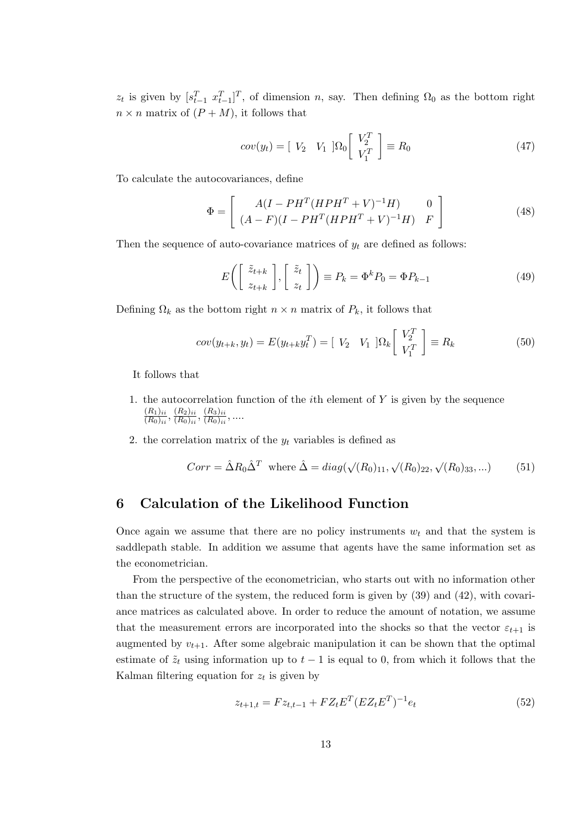$z_t$  is given by  $[s_{t-1}^T x_{t-1}^T]^T$ , of dimension *n*, say. Then defining  $\Omega_0$  as the bottom right  $n \times n$  matrix of  $(P + M)$ , it follows that

$$
cov(y_t) = \begin{bmatrix} V_2 & V_1 \end{bmatrix} \Omega_0 \begin{bmatrix} V_2^T \\ V_1^T \end{bmatrix} \equiv R_0 \tag{47}
$$

To calculate the autocovariances, define

$$
\Phi = \begin{bmatrix} A(I - PH^{T}(HPH^{T} + V)^{-1}H) & 0\\ (A - F)(I - PH^{T}(HPH^{T} + V)^{-1}H) & F \end{bmatrix}
$$
(48)

Then the sequence of auto-covariance matrices of  $y_t$  are defined as follows:

$$
E\left(\left[\begin{array}{c}\tilde{z}_{t+k} \\ z_{t+k}\end{array}\right], \left[\begin{array}{c}\tilde{z}_t \\ z_t\end{array}\right]\right) \equiv P_k = \Phi^k P_0 = \Phi P_{k-1}
$$
\n(49)

Defining  $\Omega_k$  as the bottom right  $n \times n$  matrix of  $P_k$ , it follows that

$$
cov(y_{t+k}, y_t) = E(y_{t+k}y_t^T) = [V_2 \quad V_1 \quad ]\Omega_k \begin{bmatrix} V_2^T \\ V_1^T \end{bmatrix} \equiv R_k \tag{50}
$$

It follows that

- 1. the autocorrelation function of the *i*th element of *Y* is given by the sequence  $(R_1)_{ii}$  $\frac{(R_1)_{ii}}{(R_0)_{ii}}, \frac{(R_2)_{ii}}{(R_0)_{ii}}$  $\frac{(R_2)_{ii}}{(R_0)_{ii}}, \frac{(R_3)_{ii}}{(R_0)_{ii}}$  $\frac{(R_3)_{ii}}{(R_0)_{ii}}, \dots$
- 2. the correlation matrix of the  $y_t$  variables is defined as

$$
Corr = \hat{\Delta}R_0 \hat{\Delta}^T \text{ where } \hat{\Delta} = diag(\sqrt{(R_0)_{11}}, \sqrt{(R_0)_{22}}, \sqrt{(R_0)_{33}}, \dots)
$$
 (51)

## **6 Calculation of the Likelihood Function**

Once again we assume that there are no policy instruments  $w_t$  and that the system is saddlepath stable. In addition we assume that agents have the same information set as the econometrician.

From the perspective of the econometrician, who starts out with no information other than the structure of the system, the reduced form is given by (39) and (42), with covariance matrices as calculated above. In order to reduce the amount of notation, we assume that the measurement errors are incorporated into the shocks so that the vector  $\varepsilon_{t+1}$  is augmented by  $v_{t+1}$ . After some algebraic manipulation it can be shown that the optimal estimate of  $\tilde{z}_t$  using information up to  $t-1$  is equal to 0, from which it follows that the Kalman filtering equation for  $z_t$  is given by

$$
z_{t+1,t} = Fz_{t,t-1} + FZ_t E^T (EZ_t E^T)^{-1} e_t
$$
\n(52)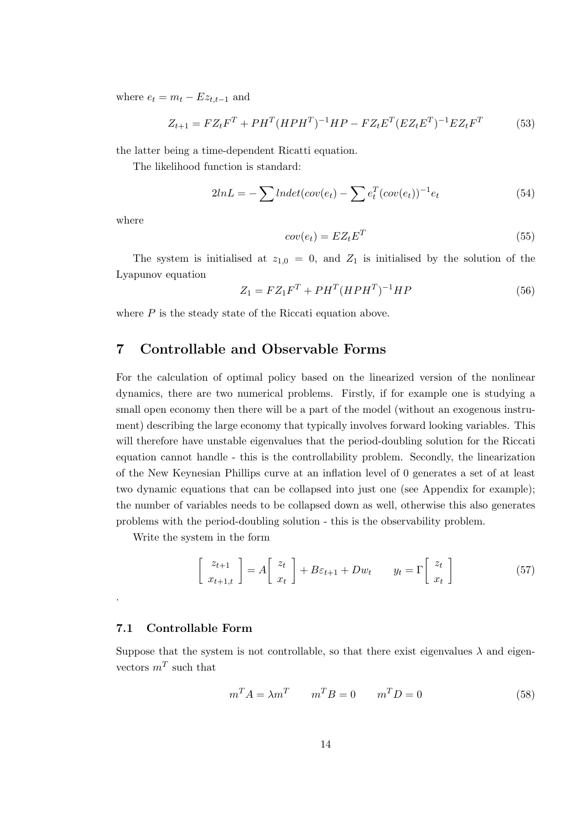where  $e_t = m_t - Ez_{t,t-1}$  and

$$
Z_{t+1} = FZ_t F^T + PH^T (HPH^T)^{-1} HP - FZ_t E^T (EZ_t E^T)^{-1} EZ_t F^T
$$
(53)

the latter being a time-dependent Ricatti equation.

The likelihood function is standard:

$$
2lnL = -\sum lndet(cov(e_t) - \sum e_t^T(cov(e_t))^{-1}e_t \qquad (54)
$$

where

$$
cov(e_t) = EZ_t E^T
$$
\n<sup>(55)</sup>

The system is initialised at  $z_{1,0} = 0$ , and  $Z_1$  is initialised by the solution of the Lyapunov equation

$$
Z_1 = FZ_1F^T + PH^T (HPH^T)^{-1}HP
$$
\n(56)

where *P* is the steady state of the Riccati equation above.

# **7 Controllable and Observable Forms**

For the calculation of optimal policy based on the linearized version of the nonlinear dynamics, there are two numerical problems. Firstly, if for example one is studying a small open economy then there will be a part of the model (without an exogenous instrument) describing the large economy that typically involves forward looking variables. This will therefore have unstable eigenvalues that the period-doubling solution for the Riccati equation cannot handle - this is the controllability problem. Secondly, the linearization of the New Keynesian Phillips curve at an inflation level of 0 generates a set of at least two dynamic equations that can be collapsed into just one (see Appendix for example); the number of variables needs to be collapsed down as well, otherwise this also generates problems with the period-doubling solution - this is the observability problem.

Write the system in the form

$$
\begin{bmatrix} z_{t+1} \\ x_{t+1,t} \end{bmatrix} = A \begin{bmatrix} z_t \\ x_t \end{bmatrix} + B\varepsilon_{t+1} + Dw_t \qquad y_t = \Gamma \begin{bmatrix} z_t \\ x_t \end{bmatrix}
$$
 (57)

#### **7.1 Controllable Form**

.

Suppose that the system is not controllable, so that there exist eigenvalues  $\lambda$  and eigenvectors  $m<sup>T</sup>$  such that

$$
m^T A = \lambda m^T \qquad m^T B = 0 \qquad m^T D = 0 \tag{58}
$$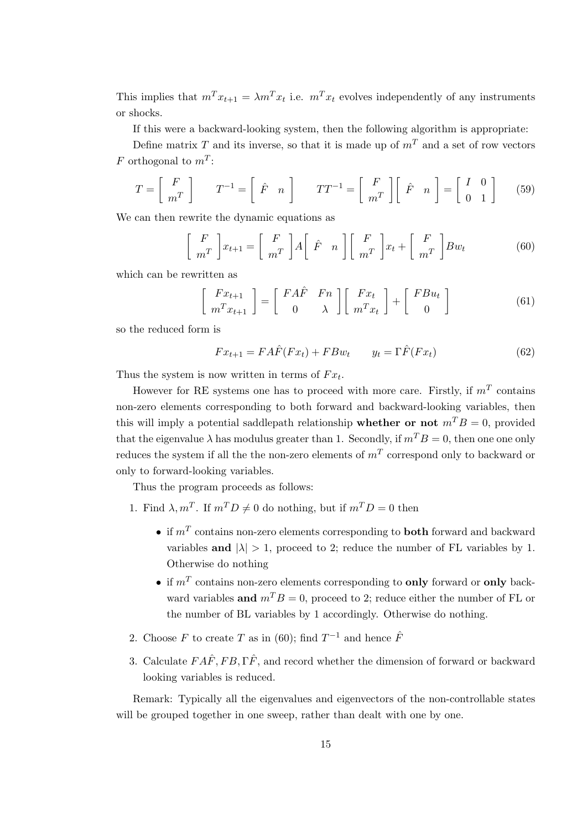This implies that  $m^T x_{t+1} = \lambda m^T x_t$  i.e.  $m^T x_t$  evolves independently of any instruments or shocks.

If this were a backward-looking system, then the following algorithm is appropriate:

Define matrix *T* and its inverse, so that it is made up of  $m<sup>T</sup>$  and a set of row vectors *F* orthogonal to *m<sup>T</sup>* :

$$
T = \begin{bmatrix} F \\ m^T \end{bmatrix} \qquad T^{-1} = \begin{bmatrix} \hat{F} & n \end{bmatrix} \qquad TT^{-1} = \begin{bmatrix} F \\ m^T \end{bmatrix} \begin{bmatrix} \hat{F} & n \end{bmatrix} = \begin{bmatrix} I & 0 \\ 0 & 1 \end{bmatrix} \tag{59}
$$

We can then rewrite the dynamic equations as

$$
\begin{bmatrix} F \\ m^T \end{bmatrix} x_{t+1} = \begin{bmatrix} F \\ m^T \end{bmatrix} A \begin{bmatrix} \hat{F} & n \end{bmatrix} \begin{bmatrix} F \\ m^T \end{bmatrix} x_t + \begin{bmatrix} F \\ m^T \end{bmatrix} B w_t \tag{60}
$$

which can be rewritten as

$$
\begin{bmatrix} Fx_{t+1} \\ m^T x_{t+1} \end{bmatrix} = \begin{bmatrix} FA\hat{F} & Fn \\ 0 & \lambda \end{bmatrix} \begin{bmatrix} Fx_t \\ m^T x_t \end{bmatrix} + \begin{bmatrix} FBu_t \\ 0 \end{bmatrix}
$$
 (61)

so the reduced form is

$$
Fx_{t+1} = FA\hat{F}(Fx_t) + FBw_t \qquad y_t = \Gamma\hat{F}(Fx_t) \tag{62}
$$

Thus the system is now written in terms of  $Fx_t$ .

However for RE systems one has to proceed with more care. Firstly, if *m<sup>T</sup>* contains non-zero elements corresponding to both forward and backward-looking variables, then this will imply a potential saddlepath relationship **whether or not**  $m^T B = 0$ , provided that the eigenvalue  $\lambda$  has modulus greater than 1. Secondly, if  $m^T B = 0$ , then one one only reduces the system if all the the non-zero elements of  $m<sup>T</sup>$  correspond only to backward or only to forward-looking variables.

Thus the program proceeds as follows:

- 1. Find  $\lambda, m^T$ . If  $m^T D \neq 0$  do nothing, but if  $m^T D = 0$  then
	- *•* if *<sup>m</sup><sup>T</sup>* contains non-zero elements corresponding to **both** forward and backward variables and  $|\lambda| > 1$ , proceed to 2; reduce the number of FL variables by 1. Otherwise do nothing
	- *•* if *<sup>m</sup><sup>T</sup>* contains non-zero elements corresponding to **only** forward or **only** backward variables **and**  $m^T B = 0$ , proceed to 2; reduce either the number of FL or the number of BL variables by 1 accordingly. Otherwise do nothing.
- 2. Choose  $F$  to create  $T$  as in (60); find  $T^{-1}$  and hence  $\hat{F}$
- 3. Calculate  $FA\hat{F}$ ,  $FB$ ,  $\Gamma\hat{F}$ , and record whether the dimension of forward or backward looking variables is reduced.

Remark: Typically all the eigenvalues and eigenvectors of the non-controllable states will be grouped together in one sweep, rather than dealt with one by one.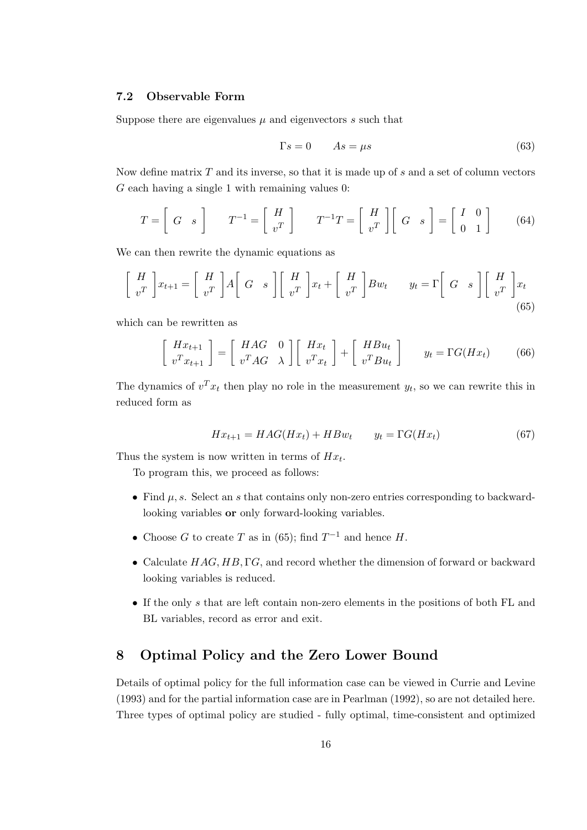#### **7.2 Observable Form**

Suppose there are eigenvalues  $\mu$  and eigenvectors  $s$  such that

$$
\Gamma s = 0 \qquad As = \mu s \tag{63}
$$

Now define matrix *T* and its inverse, so that it is made up of *s* and a set of column vectors *G* each having a single 1 with remaining values 0:

$$
T = \begin{bmatrix} G & s \end{bmatrix} \qquad T^{-1} = \begin{bmatrix} H \\ v^T \end{bmatrix} \qquad T^{-1}T = \begin{bmatrix} H \\ v^T \end{bmatrix} \begin{bmatrix} G & s \end{bmatrix} = \begin{bmatrix} I & 0 \\ 0 & 1 \end{bmatrix} \tag{64}
$$

We can then rewrite the dynamic equations as

$$
\begin{bmatrix} H \\ v^T \end{bmatrix} x_{t+1} = \begin{bmatrix} H \\ v^T \end{bmatrix} A \begin{bmatrix} G & s \end{bmatrix} \begin{bmatrix} H \\ v^T \end{bmatrix} x_t + \begin{bmatrix} H \\ v^T \end{bmatrix} B w_t \qquad y_t = \Gamma \begin{bmatrix} G & s \end{bmatrix} \begin{bmatrix} H \\ v^T \end{bmatrix} x_t
$$
\n(65)

which can be rewritten as

$$
\begin{bmatrix}\nHx_{t+1} \\
v^T x_{t+1}\n\end{bmatrix} = \begin{bmatrix}\nHAG & 0 \\
v^T AG & \lambda\n\end{bmatrix} \begin{bmatrix}\nHx_t \\
v^T x_t\n\end{bmatrix} + \begin{bmatrix}\nHBu_t \\
v^T Bu_t\n\end{bmatrix} \n\qquad y_t = \Gamma G(Hx_t)
$$
\n(66)

The dynamics of  $v^T x_t$  then play no role in the measurement  $y_t$ , so we can rewrite this in reduced form as

$$
Hx_{t+1} = HAG(Hx_t) + HBw_t \qquad y_t = \Gamma G(Hx_t) \tag{67}
$$

Thus the system is now written in terms of  $Hx_t$ .

To program this, we proceed as follows:

- *•* Find *µ, s*. Select an *s* that contains only non-zero entries corresponding to backwardlooking variables **or** only forward-looking variables.
- Choose *G* to create *T* as in (65); find  $T^{-1}$  and hence *H*.
- *•* Calculate *HAG, HB,* Γ*G*, and record whether the dimension of forward or backward looking variables is reduced.
- *•* If the only *s* that are left contain non-zero elements in the positions of both FL and BL variables, record as error and exit.

# **8 Optimal Policy and the Zero Lower Bound**

Details of optimal policy for the full information case can be viewed in Currie and Levine (1993) and for the partial information case are in Pearlman (1992), so are not detailed here. Three types of optimal policy are studied - fully optimal, time-consistent and optimized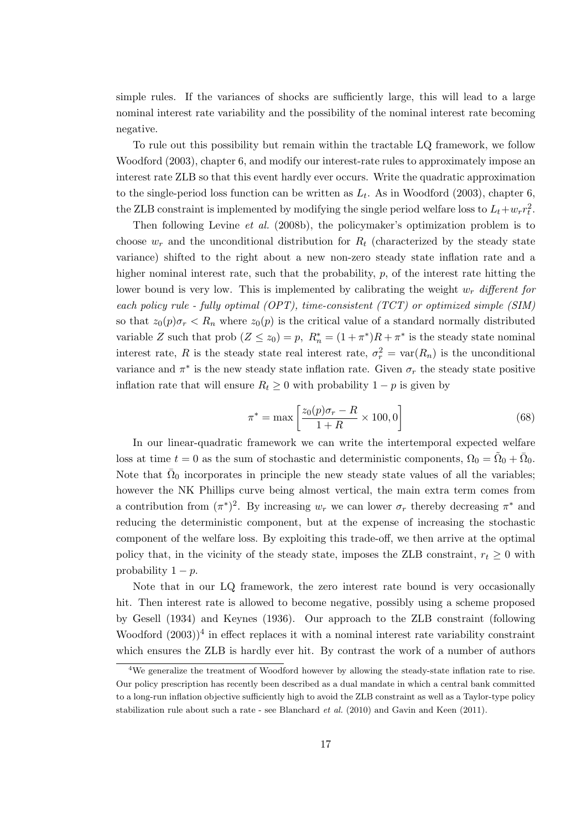simple rules. If the variances of shocks are sufficiently large, this will lead to a large nominal interest rate variability and the possibility of the nominal interest rate becoming negative.

To rule out this possibility but remain within the tractable LQ framework, we follow Woodford (2003), chapter 6, and modify our interest-rate rules to approximately impose an interest rate ZLB so that this event hardly ever occurs. Write the quadratic approximation to the single-period loss function can be written as  $L_t$ . As in Woodford (2003), chapter 6, the ZLB constraint is implemented by modifying the single period welfare loss to  $L_t + w_r r_t^2$ .

Then following Levine *et al.* (2008b), the policymaker's optimization problem is to choose  $w_r$  and the unconditional distribution for  $R_t$  (characterized by the steady state variance) shifted to the right about a new non-zero steady state inflation rate and a higher nominal interest rate, such that the probability,  $p$ , of the interest rate hitting the lower bound is very low. This is implemented by calibrating the weight *w<sup>r</sup> different for each policy rule - fully optimal (OPT), time-consistent (TCT) or optimized simple (SIM)* so that  $z_0(p)\sigma_r < R_n$  where  $z_0(p)$  is the critical value of a standard normally distributed variable *Z* such that prob  $(Z \le z_0) = p$ ,  $R_n^* = (1 + \pi^*)R + \pi^*$  is the steady state nominal interest rate, *R* is the steady state real interest rate,  $\sigma_r^2 = \text{var}(R_n)$  is the unconditional variance and  $\pi^*$  is the new steady state inflation rate. Given  $\sigma_r$  the steady state positive inflation rate that will ensure  $R_t \geq 0$  with probability  $1 - p$  is given by

$$
\pi^* = \max\left[\frac{z_0(p)\sigma_r - R}{1 + R} \times 100, 0\right]
$$
\n(68)

In our linear-quadratic framework we can write the intertemporal expected welfare loss at time  $t = 0$  as the sum of stochastic and deterministic components,  $\Omega_0 = \tilde{\Omega}_0 + \bar{\Omega}_0$ . Note that  $\bar{\Omega}_0$  incorporates in principle the new steady state values of all the variables; however the NK Phillips curve being almost vertical, the main extra term comes from a contribution from  $(\pi^*)^2$ . By increasing  $w_r$  we can lower  $\sigma_r$  thereby decreasing  $\pi^*$  and reducing the deterministic component, but at the expense of increasing the stochastic component of the welfare loss. By exploiting this trade-off, we then arrive at the optimal policy that, in the vicinity of the steady state, imposes the ZLB constraint,  $r_t \geq 0$  with probability  $1 - p$ .

Note that in our LQ framework, the zero interest rate bound is very occasionally hit. Then interest rate is allowed to become negative, possibly using a scheme proposed by Gesell (1934) and Keynes (1936). Our approach to the ZLB constraint (following Woodford  $(2003)^4$  in effect replaces it with a nominal interest rate variability constraint which ensures the ZLB is hardly ever hit. By contrast the work of a number of authors

<sup>&</sup>lt;sup>4</sup>We generalize the treatment of Woodford however by allowing the steady-state inflation rate to rise. Our policy prescription has recently been described as a dual mandate in which a central bank committed to a long-run inflation objective sufficiently high to avoid the ZLB constraint as well as a Taylor-type policy stabilization rule about such a rate - see Blanchard *et al.* (2010) and Gavin and Keen (2011).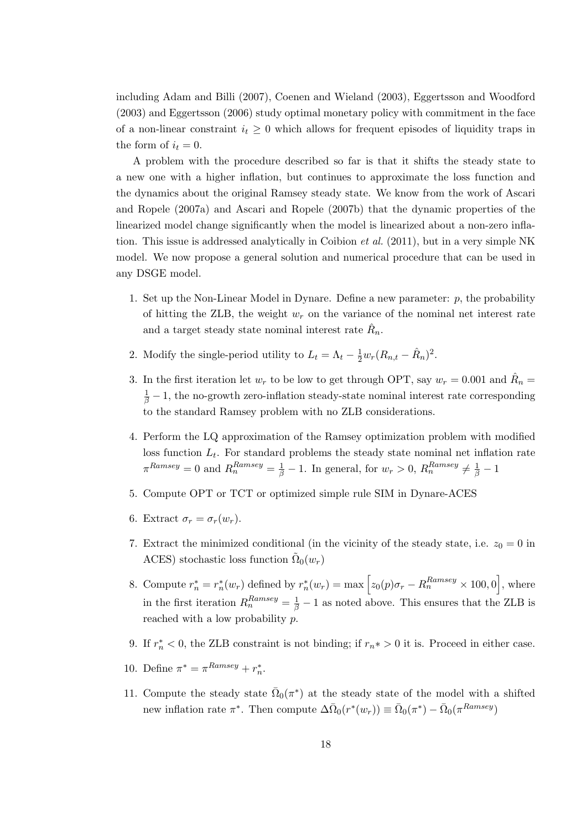including Adam and Billi (2007), Coenen and Wieland (2003), Eggertsson and Woodford (2003) and Eggertsson (2006) study optimal monetary policy with commitment in the face of a non-linear constraint  $i_t \geq 0$  which allows for frequent episodes of liquidity traps in the form of  $i_t = 0$ .

A problem with the procedure described so far is that it shifts the steady state to a new one with a higher inflation, but continues to approximate the loss function and the dynamics about the original Ramsey steady state. We know from the work of Ascari and Ropele (2007a) and Ascari and Ropele (2007b) that the dynamic properties of the linearized model change significantly when the model is linearized about a non-zero inflation. This issue is addressed analytically in Coibion *et al.* (2011), but in a very simple NK model. We now propose a general solution and numerical procedure that can be used in any DSGE model.

- 1. Set up the Non-Linear Model in Dynare. Define a new parameter: *p*, the probability of hitting the ZLB, the weight *w<sup>r</sup>* on the variance of the nominal net interest rate and a target steady state nominal interest rate  $\hat{R}_n$ .
- 2. Modify the single-period utility to  $L_t = \Lambda_t \frac{1}{2} w_r (R_{n,t} \hat{R}_n)^2$ .
- 3. In the first iteration let  $w_r$  to be low to get through OPT, say  $w_r = 0.001$  and  $\hat{R}_n =$  $\frac{1}{\beta}$  − 1, the no-growth zero-inflation steady-state nominal interest rate corresponding to the standard Ramsey problem with no ZLB considerations.
- 4. Perform the LQ approximation of the Ramsey optimization problem with modified loss function  $L_t$ . For standard problems the steady state nominal net inflation rate  $\pi^{Ramsey} = 0$  and  $R_n^{Ramsey} = \frac{1}{\beta} - 1$ . In general, for  $w_r > 0$ ,  $R_n^{Ramsey} \neq \frac{1}{\beta} - 1$
- 5. Compute OPT or TCT or optimized simple rule SIM in Dynare-ACES
- 6. Extract  $\sigma_r = \sigma_r(w_r)$ .
- 7. Extract the minimized conditional (in the vicinity of the steady state, i.e.  $z_0 = 0$  in ACES) stochastic loss function  $\tilde{\Omega}_0(w_r)$
- 8. Compute  $r_n^* = r_n^*(w_r)$  defined by  $r_n^*(w_r) = \max\left[z_0(p)\sigma_r R_n^{Ramsey} \times 100, 0\right]$ , where in the first iteration  $R_n^{Ramsey} = \frac{1}{\beta} - 1$  as noted above. This ensures that the ZLB is reached with a low probability *p*.
- 9. If  $r_n^* < 0$ , the ZLB constraint is not binding; if  $r_n^* > 0$  it is. Proceed in either case.
- 10. Define  $\pi^* = \pi^{Ramsey} + r_n^*$ .
- 11. Compute the steady state  $\overline{\Omega}_0(\pi^*)$  at the steady state of the model with a shifted new inflation rate  $\pi^*$ . Then compute  $\Delta \bar{\Omega}_0(r^*(w_r)) \equiv \bar{\Omega}_0(\pi^*) - \bar{\Omega}_0(\pi^{Ramsey})$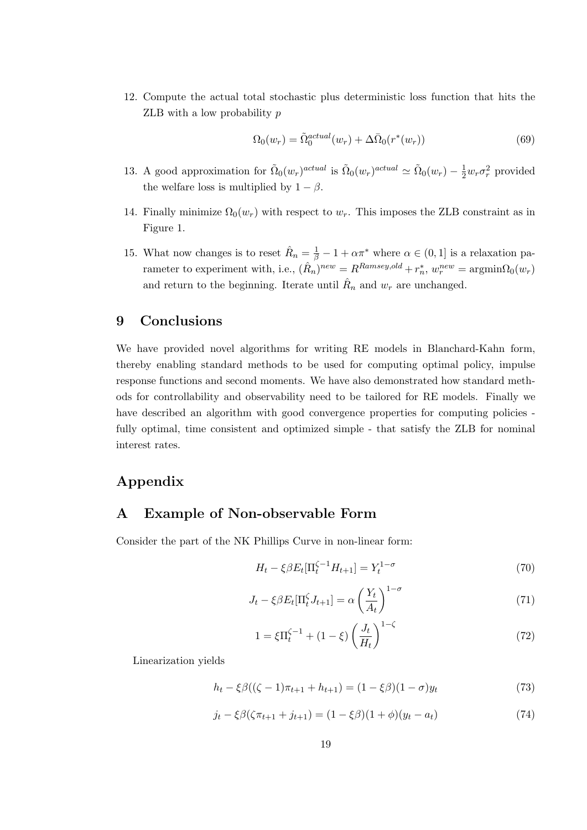12. Compute the actual total stochastic plus deterministic loss function that hits the ZLB with a low probability *p*

$$
\Omega_0(w_r) = \tilde{\Omega}_0^{actual}(w_r) + \Delta \bar{\Omega}_0(r^*(w_r))
$$
\n(69)

- 13. A good approximation for  $\tilde{\Omega}_0(w_r)^{actual}$  is  $\tilde{\Omega}_0(w_r)^{actual} \simeq \tilde{\Omega}_0(w_r) \frac{1}{2}w_r\sigma_r^2$  provided the welfare loss is multiplied by  $1 - \beta$ .
- 14. Finally minimize  $\Omega_0(w_r)$  with respect to  $w_r$ . This imposes the ZLB constraint as in Figure 1.
- 15. What now changes is to reset  $\hat{R}_n = \frac{1}{\beta} 1 + \alpha \pi^*$  where  $\alpha \in (0, 1]$  is a relaxation pa- $\text{rameeter to experiment with, i.e., } (\hat{R}_n)^{new} = R^{Ramsey,old} + r_n^*, w_r^{new} = \text{argmin}\Omega_0(w_r)$ and return to the beginning. Iterate until  $\hat{R}_n$  and  $w_r$  are unchanged.

# **9 Conclusions**

We have provided novel algorithms for writing RE models in Blanchard-Kahn form, thereby enabling standard methods to be used for computing optimal policy, impulse response functions and second moments. We have also demonstrated how standard methods for controllability and observability need to be tailored for RE models. Finally we have described an algorithm with good convergence properties for computing policies fully optimal, time consistent and optimized simple - that satisfy the ZLB for nominal interest rates.

# **Appendix**

# **A Example of Non-observable Form**

Consider the part of the NK Phillips Curve in non-linear form:

$$
H_t - \xi \beta E_t [\Pi_t^{\zeta - 1} H_{t+1}] = Y_t^{1 - \sigma}
$$
\n(70)

$$
J_t - \xi \beta E_t[\Pi_t^{\zeta} J_{t+1}] = \alpha \left(\frac{Y_t}{A_t}\right)^{1-\sigma} \tag{71}
$$

$$
1 = \xi \Pi_t^{\zeta - 1} + (1 - \xi) \left(\frac{J_t}{H_t}\right)^{1 - \zeta} \tag{72}
$$

Linearization yields

$$
h_t - \xi \beta ((\zeta - 1)\pi_{t+1} + h_{t+1}) = (1 - \xi \beta)(1 - \sigma) y_t \tag{73}
$$

$$
j_t - \xi \beta (\zeta \pi_{t+1} + j_{t+1}) = (1 - \xi \beta)(1 + \phi)(y_t - a_t)
$$
\n(74)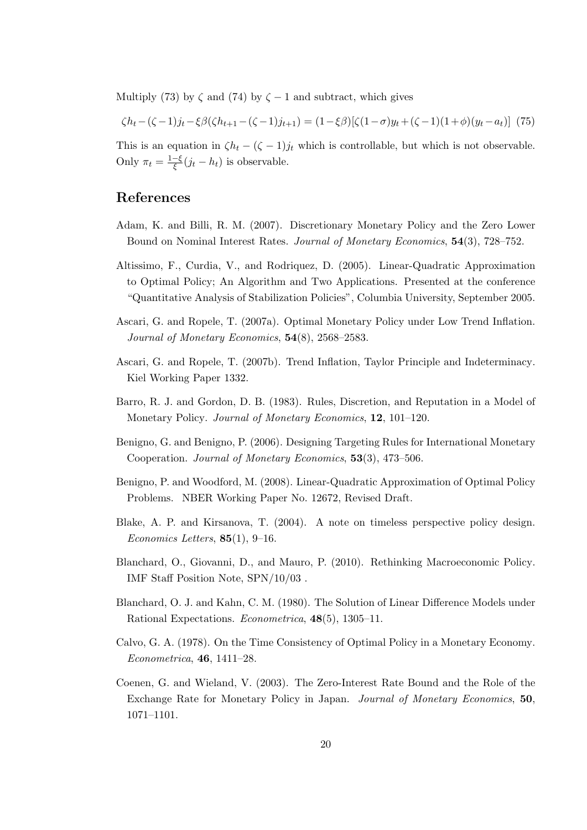Multiply (73) by  $\zeta$  and (74) by  $\zeta$  – 1 and subtract, which gives

$$
\zeta h_t - (\zeta - 1)j_t - \xi \beta (\zeta h_{t+1} - (\zeta - 1)j_{t+1}) = (1 - \xi \beta)[\zeta (1 - \sigma)y_t + (\zeta - 1)(1 + \phi)(y_t - a_t)] \tag{75}
$$

This is an equation in  $\zeta h_t - (\zeta - 1)j_t$  which is controllable, but which is not observable. Only  $\pi_t = \frac{1-\xi}{\xi}(j_t - h_t)$  is observable.

# **References**

- Adam, K. and Billi, R. M. (2007). Discretionary Monetary Policy and the Zero Lower Bound on Nominal Interest Rates. *Journal of Monetary Economics*, **54**(3), 728–752.
- Altissimo, F., Curdia, V., and Rodriquez, D. (2005). Linear-Quadratic Approximation to Optimal Policy; An Algorithm and Two Applications. Presented at the conference "Quantitative Analysis of Stabilization Policies", Columbia University, September 2005.
- Ascari, G. and Ropele, T. (2007a). Optimal Monetary Policy under Low Trend Inflation. *Journal of Monetary Economics*, **54**(8), 2568–2583.
- Ascari, G. and Ropele, T. (2007b). Trend Inflation, Taylor Principle and Indeterminacy. Kiel Working Paper 1332.
- Barro, R. J. and Gordon, D. B. (1983). Rules, Discretion, and Reputation in a Model of Monetary Policy. *Journal of Monetary Economics*, **12**, 101–120.
- Benigno, G. and Benigno, P. (2006). Designing Targeting Rules for International Monetary Cooperation. *Journal of Monetary Economics*, **53**(3), 473–506.
- Benigno, P. and Woodford, M. (2008). Linear-Quadratic Approximation of Optimal Policy Problems. NBER Working Paper No. 12672, Revised Draft.
- Blake, A. P. and Kirsanova, T. (2004). A note on timeless perspective policy design. *Economics Letters*, **85**(1), 9–16.
- Blanchard, O., Giovanni, D., and Mauro, P. (2010). Rethinking Macroeconomic Policy. IMF Staff Position Note, SPN/10/03 .
- Blanchard, O. J. and Kahn, C. M. (1980). The Solution of Linear Difference Models under Rational Expectations. *Econometrica*, **48**(5), 1305–11.
- Calvo, G. A. (1978). On the Time Consistency of Optimal Policy in a Monetary Economy. *Econometrica*, **46**, 1411–28.
- Coenen, G. and Wieland, V. (2003). The Zero-Interest Rate Bound and the Role of the Exchange Rate for Monetary Policy in Japan. *Journal of Monetary Economics*, **50**, 1071–1101.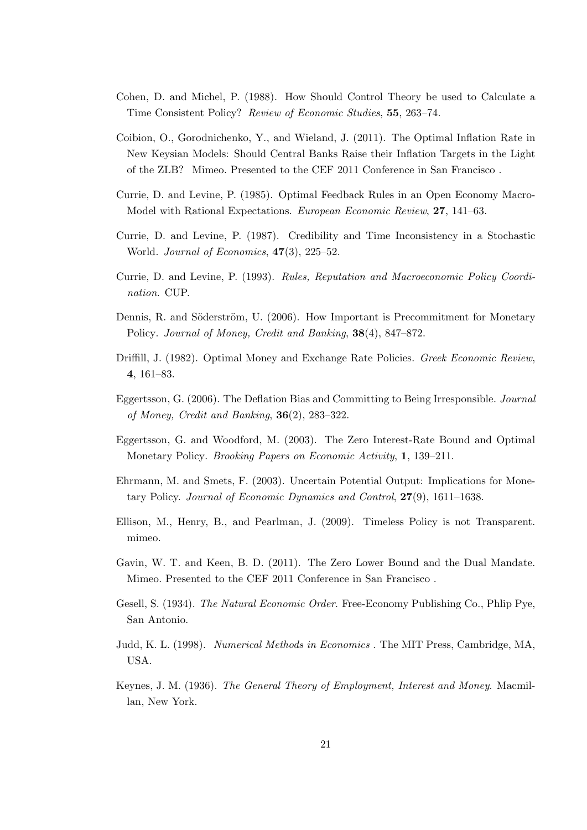- Cohen, D. and Michel, P. (1988). How Should Control Theory be used to Calculate a Time Consistent Policy? *Review of Economic Studies*, **55**, 263–74.
- Coibion, O., Gorodnichenko, Y., and Wieland, J. (2011). The Optimal Inflation Rate in New Keysian Models: Should Central Banks Raise their Inflation Targets in the Light of the ZLB? Mimeo. Presented to the CEF 2011 Conference in San Francisco .
- Currie, D. and Levine, P. (1985). Optimal Feedback Rules in an Open Economy Macro-Model with Rational Expectations. *European Economic Review*, **27**, 141–63.
- Currie, D. and Levine, P. (1987). Credibility and Time Inconsistency in a Stochastic World. *Journal of Economics*, **47**(3), 225–52.
- Currie, D. and Levine, P. (1993). *Rules, Reputation and Macroeconomic Policy Coordination*. CUP.
- Dennis, R. and Söderström, U. (2006). How Important is Precommitment for Monetary Policy. *Journal of Money, Credit and Banking*, **38**(4), 847–872.
- Driffill, J. (1982). Optimal Money and Exchange Rate Policies. *Greek Economic Review*, **4**, 161–83.
- Eggertsson, G. (2006). The Deflation Bias and Committing to Being Irresponsible. *Journal of Money, Credit and Banking*, **36**(2), 283–322.
- Eggertsson, G. and Woodford, M. (2003). The Zero Interest-Rate Bound and Optimal Monetary Policy. *Brooking Papers on Economic Activity*, **1**, 139–211.
- Ehrmann, M. and Smets, F. (2003). Uncertain Potential Output: Implications for Monetary Policy. *Journal of Economic Dynamics and Control*, **27**(9), 1611–1638.
- Ellison, M., Henry, B., and Pearlman, J. (2009). Timeless Policy is not Transparent. mimeo.
- Gavin, W. T. and Keen, B. D. (2011). The Zero Lower Bound and the Dual Mandate. Mimeo. Presented to the CEF 2011 Conference in San Francisco .
- Gesell, S. (1934). *The Natural Economic Order*. Free-Economy Publishing Co., Phlip Pye, San Antonio.
- Judd, K. L. (1998). *Numerical Methods in Economics* . The MIT Press, Cambridge, MA, USA.
- Keynes, J. M. (1936). *The General Theory of Employment, Interest and Money*. Macmillan, New York.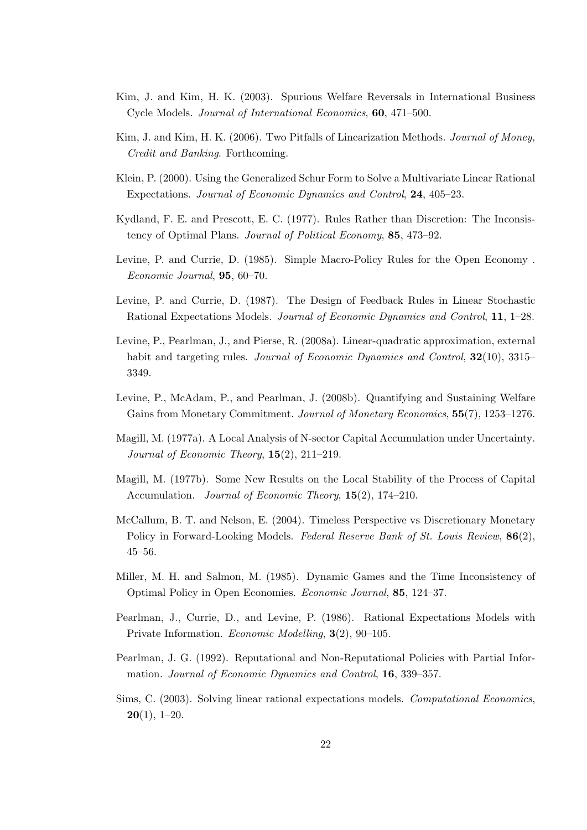- Kim, J. and Kim, H. K. (2003). Spurious Welfare Reversals in International Business Cycle Models. *Journal of International Economics*, **60**, 471–500.
- Kim, J. and Kim, H. K. (2006). Two Pitfalls of Linearization Methods. *Journal of Money, Credit and Banking*. Forthcoming.
- Klein, P. (2000). Using the Generalized Schur Form to Solve a Multivariate Linear Rational Expectations. *Journal of Economic Dynamics and Control*, **24**, 405–23.
- Kydland, F. E. and Prescott, E. C. (1977). Rules Rather than Discretion: The Inconsistency of Optimal Plans. *Journal of Political Economy*, **85**, 473–92.
- Levine, P. and Currie, D. (1985). Simple Macro-Policy Rules for the Open Economy . *Economic Journal*, **95**, 60–70.
- Levine, P. and Currie, D. (1987). The Design of Feedback Rules in Linear Stochastic Rational Expectations Models. *Journal of Economic Dynamics and Control*, **11**, 1–28.
- Levine, P., Pearlman, J., and Pierse, R. (2008a). Linear-quadratic approximation, external habit and targeting rules. *Journal of Economic Dynamics and Control*, **32**(10), 3315– 3349.
- Levine, P., McAdam, P., and Pearlman, J. (2008b). Quantifying and Sustaining Welfare Gains from Monetary Commitment. *Journal of Monetary Economics*, **55**(7), 1253–1276.
- Magill, M. (1977a). A Local Analysis of N-sector Capital Accumulation under Uncertainty. *Journal of Economic Theory*, **15**(2), 211–219.
- Magill, M. (1977b). Some New Results on the Local Stability of the Process of Capital Accumulation. *Journal of Economic Theory*, **15**(2), 174–210.
- McCallum, B. T. and Nelson, E. (2004). Timeless Perspective vs Discretionary Monetary Policy in Forward-Looking Models. *Federal Reserve Bank of St. Louis Review*, **86**(2), 45–56.
- Miller, M. H. and Salmon, M. (1985). Dynamic Games and the Time Inconsistency of Optimal Policy in Open Economies. *Economic Journal*, **85**, 124–37.
- Pearlman, J., Currie, D., and Levine, P. (1986). Rational Expectations Models with Private Information. *Economic Modelling*, **3**(2), 90–105.
- Pearlman, J. G. (1992). Reputational and Non-Reputational Policies with Partial Information. *Journal of Economic Dynamics and Control*, **16**, 339–357.
- Sims, C. (2003). Solving linear rational expectations models. *Computational Economics*, **20**(1), 1–20.